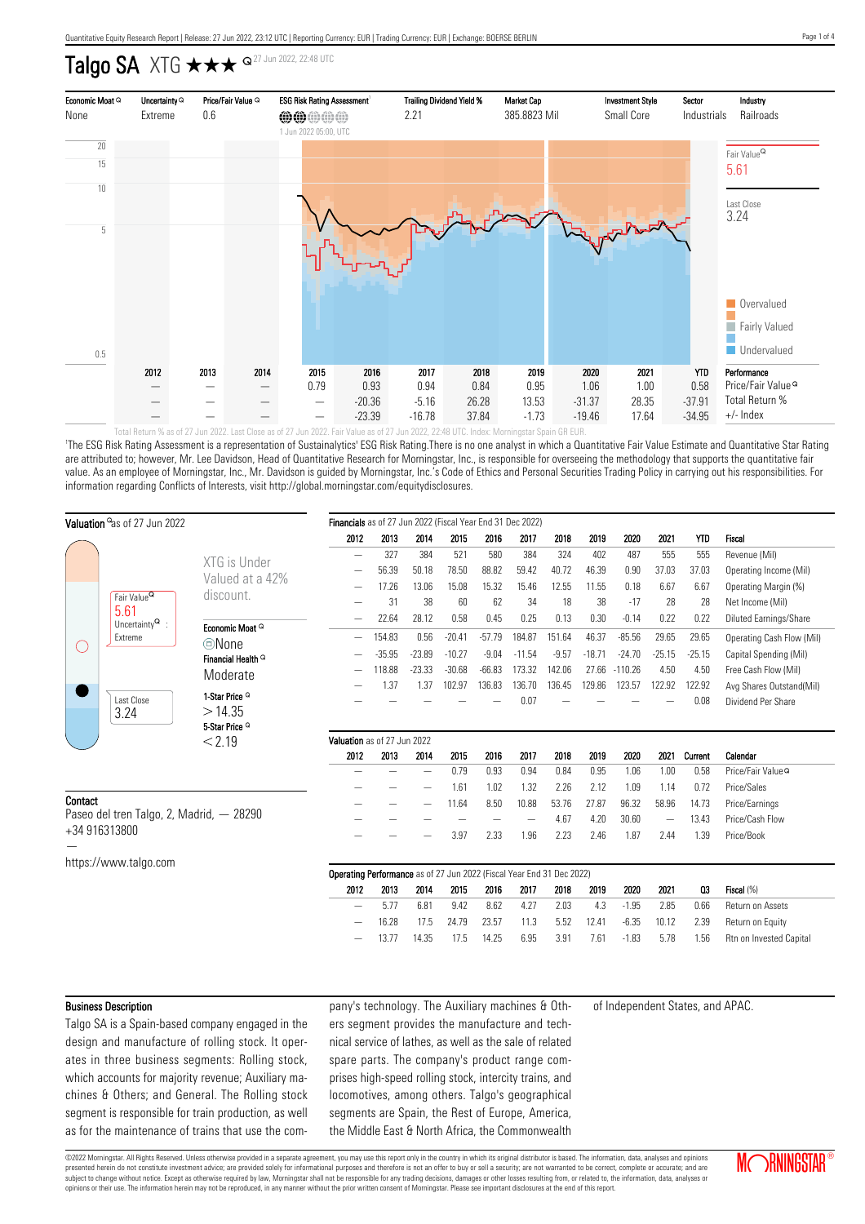# Talgo SA XTG  $\star\star\star$   $\circ$  27 Jun 2022, 22:48 UTC



'The ESG Risk Rating Assessment is a representation of Sustainalytics' ESG Risk Rating.There is no one analyst in which a Quantitative Fair Value Estimate and Quantitative Star Rating are attributed to; however, Mr. Lee Davidson, Head of Quantitative Research for Morningstar, Inc., is responsible for overseeing the methodology that supports the quantitative fair value. As an employee of Morningstar, Inc., Mr. Davidson is guided by Morningstar, Inc.'s Code of Ethics and Personal Securities Trading Policy in carrying out his responsibilities. For information regarding Conflicts of Interests, visit http://global.morningstar.com/equitydisclosures.

|                                                      | Valuation as of 27 Jun 2022                |                                        | Financials as of 27 Jun 2022 (Fiscal Year End 31 Dec 2022)            |          |                          |          |          |          |         |          |           |          |            |                               |
|------------------------------------------------------|--------------------------------------------|----------------------------------------|-----------------------------------------------------------------------|----------|--------------------------|----------|----------|----------|---------|----------|-----------|----------|------------|-------------------------------|
|                                                      |                                            |                                        | 2012                                                                  | 2013     | 2014                     | 2015     | 2016     | 2017     | 2018    | 2019     | 2020      | 2021     | <b>YTD</b> | Fiscal                        |
|                                                      |                                            | XTG is Under                           | $\overline{\phantom{0}}$                                              | 327      | 384                      | 521      | 580      | 384      | 324     | 402      | 487       | 555      | 555        | Revenue (Mil)                 |
|                                                      |                                            | Valued at a 42%                        |                                                                       | 56.39    | 50.18                    | 78.50    | 88.82    | 59.42    | 40.72   | 46.39    | 0.90      | 37.03    | 37.03      | Operating Income (Mil)        |
|                                                      |                                            | discount.                              |                                                                       | 17.26    | 13.06                    | 15.08    | 15.32    | 15.46    | 12.55   | 11.55    | 0.18      | 6.67     | 6.67       | Operating Margin (%)          |
|                                                      | Fair Value <sup>Q</sup><br>5.61            |                                        |                                                                       | 31       | 38                       | 60       | 62       | 34       | 18      | 38       | $-17$     | 28       | 28         | Net Income (Mil)              |
| $\left(\begin{array}{c} \end{array}\right)$          | Uncertainty $^{\mathsf{Q}}\,$ :<br>Extreme |                                        | —                                                                     | 22.64    | 28.12                    | 0.58     | 0.45     | 0.25     | 0.13    | 0.30     | $-0.14$   | 0.22     | 0.22       | <b>Diluted Earnings/Share</b> |
|                                                      |                                            | Economic Moat Q                        | —                                                                     | 154.83   | 0.56                     | $-20.41$ | $-57.79$ | 184.87   | 151.64  | 46.37    | $-85.56$  | 29.65    | 29.65      | Operating Cash Flow (Mil)     |
|                                                      |                                            | ©None<br>Financial Health <sup>Q</sup> |                                                                       | $-35.95$ | $-23.89$                 | $-10.27$ | $-9.04$  | $-11.54$ | $-9.57$ | $-18.71$ | $-24.70$  | $-25.15$ | $-25.15$   | Capital Spending (Mil)        |
|                                                      |                                            |                                        |                                                                       | 118.88   | $-23.33$                 | $-30.68$ | $-66.83$ | 173.32   | 142.06  | 27.66    | $-110.26$ | 4.50     | 4.50       | Free Cash Flow (Mil)          |
|                                                      |                                            | Moderate                               |                                                                       | 1.37     | 1.37                     | 102.97   | 136.83   | 136.70   | 136.45  | 129.86   | 123.57    | 122.92   | 122.92     | Avg Shares Outstand(Mil)      |
|                                                      | Last Close                                 | 1-Star Price <sup>Q</sup>              |                                                                       |          |                          |          |          | 0.07     |         |          |           |          | 0.08       | Dividend Per Share            |
|                                                      | 3.24                                       | >14.35                                 |                                                                       |          |                          |          |          |          |         |          |           |          |            |                               |
|                                                      |                                            | 5-Star Price <sup>Q</sup>              |                                                                       |          |                          |          |          |          |         |          |           |          |            |                               |
|                                                      |                                            | < 2.19                                 | Valuation as of 27 Jun 2022                                           |          |                          |          |          |          |         |          |           |          |            |                               |
|                                                      |                                            |                                        | 2012                                                                  | 2013     | 2014                     | 2015     | 2016     | 2017     | 2018    | 2019     | 2020      | 2021     | Current    | Calendar                      |
|                                                      |                                            |                                        |                                                                       |          | $\overline{\phantom{0}}$ | 0.79     | 0.93     | 0.94     | 0.84    | 0.95     | 1.06      | 1.00     | 0.58       | Price/Fair Value <sup>Q</sup> |
| Contact<br>Paseo del tren Talgo, 2, Madrid, $-28290$ |                                            |                                        |                                                                       |          |                          | 1.61     | 1.02     | 1.32     | 2.26    | 2.12     | 1.09      | 1.14     | 0.72       | Price/Sales                   |
|                                                      |                                            |                                        |                                                                       |          |                          | 11.64    | 8.50     | 10.88    | 53.76   | 27.87    | 96.32     | 58.96    | 14.73      | Price/Earnings                |
| +34 916313800                                        |                                            |                                        |                                                                       |          |                          |          |          |          | 4.67    | 4.20     | 30.60     |          | 13.43      | Price/Cash Flow               |
|                                                      |                                            |                                        |                                                                       |          |                          | 3.97     | 2.33     | 1.96     | 2.23    | 2.46     | 1.87      | 2.44     | 1.39       | Price/Book                    |
|                                                      | https://www.talgo.com                      |                                        |                                                                       |          |                          |          |          |          |         |          |           |          |            |                               |
|                                                      |                                            |                                        | Operating Performance as of 27 Jun 2022 (Fiscal Year End 31 Dec 2022) |          |                          |          |          |          |         |          |           |          |            |                               |
|                                                      |                                            |                                        | 2012                                                                  | 2013     | 2014                     | 2015     | 2016     | 2017     | 2018    | 2019     | 2020      | 2021     | 03         | Fiscal (%)                    |
|                                                      |                                            |                                        | —                                                                     | 5.77     | 6.81                     | 9.42     | 8.62     | 4.27     | 2.03    | 4.3      | $-1.95$   | 2.85     | 0.66       | Return on Assets              |
|                                                      |                                            |                                        |                                                                       | 16.28    | 17.5                     | 24.79    | 23.57    | 11.3     | 5.52    | 12.41    | $-6.35$   | 10.12    | 2.39       | Return on Equity              |
|                                                      |                                            |                                        |                                                                       | 13.77    | 14.35                    | 17.5     | 14.25    | 6.95     | 3.91    | 7.61     | $-1.83$   | 5.78     | 1.56       | Rtn on Invested Capital       |

### Business Description

Talgo SA is a Spain-based company engaged in the design and manufacture of rolling stock. It operates in three business segments: Rolling stock, which accounts for majority revenue; Auxiliary machines & Others; and General. The Rolling stock segment is responsible for train production, as well as for the maintenance of trains that use the company's technology. The Auxiliary machines & Others segment provides the manufacture and technical service of lathes, as well as the sale of related spare parts. The company's product range comprises high-speed rolling stock, intercity trains, and locomotives, among others. Talgo's geographical segments are Spain, the Rest of Europe, America, the Middle East & North Africa, the Commonwealth of Independent States, and APAC.

©2022 Morningstar. All Rights Reserved. Unless otherwise provided in a separate agreement, you may use this report only in the country in which its original distributor is based. The information, data, analyses and opinions presented herein do not constitute investment advice; are provided solely for informational purposes and therefore is not an offer to buy or sell a security; are not warranted to be correct, complete or accurate; and are subject to change without notice. Except as otherwise required by law, Morningstar shall not be responsible for any trading decisions, damages or other losses resulting from, or related to, the information, data, analyses opinions or their use. The information herein may not be reproduced, in any manner without the prior written consent of Morningstar. Please see important disclosures at the end of this report.

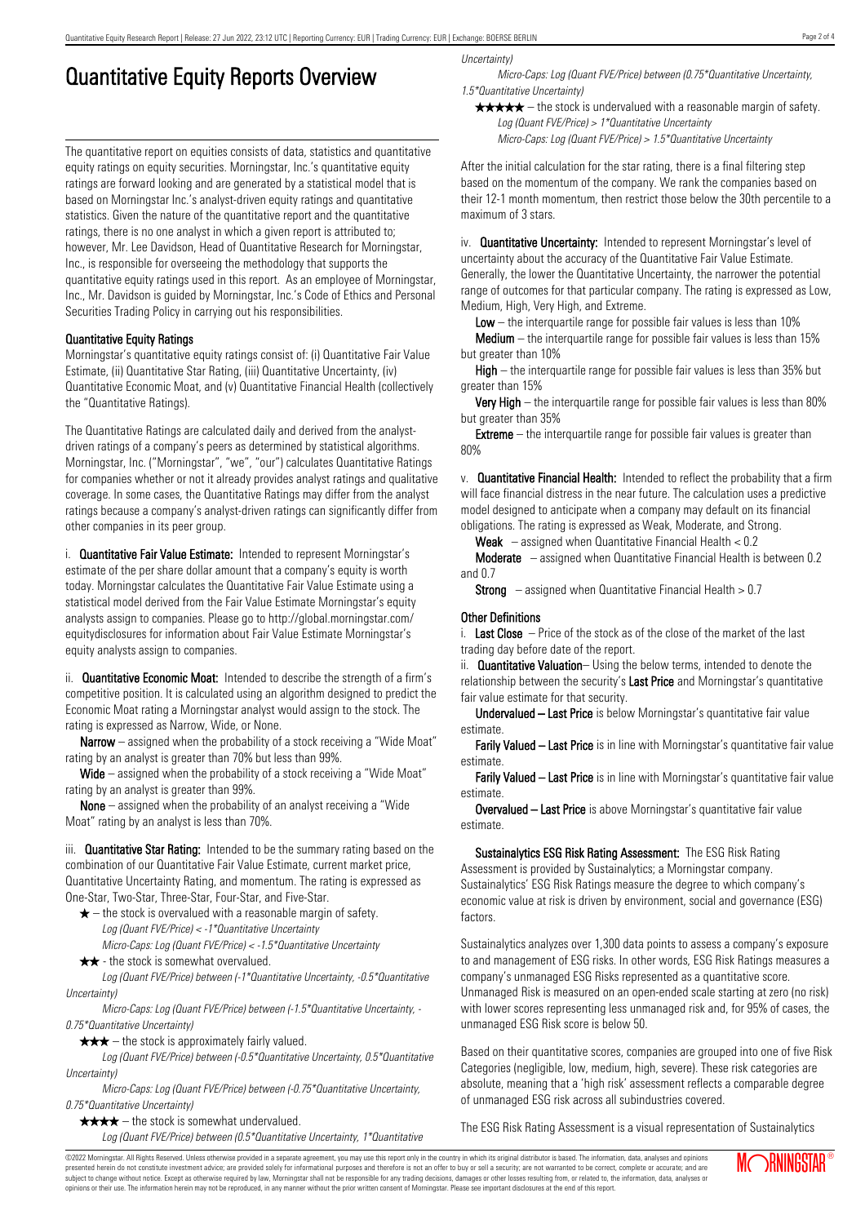# Quantitative Equity Reports Overview

The quantitative report on equities consists of data, statistics and quantitative equity ratings on equity securities. Morningstar, Inc.'s quantitative equity ratings are forward looking and are generated by a statistical model that is based on Morningstar Inc.'s analyst-driven equity ratings and quantitative statistics. Given the nature of the quantitative report and the quantitative ratings, there is no one analyst in which a given report is attributed to; however, Mr. Lee Davidson, Head of Quantitative Research for Morningstar, Inc., is responsible for overseeing the methodology that supports the quantitative equity ratings used in this report. As an employee of Morningstar, Inc., Mr. Davidson is guided by Morningstar, Inc.'s Code of Ethics and Personal Securities Trading Policy in carrying out his responsibilities.

## Quantitative Equity Ratings

Morningstar's quantitative equity ratings consist of: (i) Quantitative Fair Value Estimate, (ii) Quantitative Star Rating, (iii) Quantitative Uncertainty, (iv) Quantitative Economic Moat, and (v) Quantitative Financial Health (collectively the "Quantitative Ratings).

The Quantitative Ratings are calculated daily and derived from the analystdriven ratings of a company's peers as determined by statistical algorithms. Morningstar, Inc. ("Morningstar", "we", "our") calculates Quantitative Ratings for companies whether or not it already provides analyst ratings and qualitative coverage. In some cases, the Quantitative Ratings may differ from the analyst ratings because a company's analyst-driven ratings can significantly differ from other companies in its peer group.

i. **Quantitative Fair Value Estimate:** Intended to represent Morningstar's estimate of the per share dollar amount that a company's equity is worth today. Morningstar calculates the Quantitative Fair Value Estimate using a statistical model derived from the Fair Value Estimate Morningstar's equity analysts assign to companies. Please go to http://global.morningstar.com/ equitydisclosures for information about Fair Value Estimate Morningstar's equity analysts assign to companies.

ii. **Quantitative Economic Moat:** Intended to describe the strength of a firm's competitive position. It is calculated using an algorithm designed to predict the Economic Moat rating a Morningstar analyst would assign to the stock. The rating is expressed as Narrow, Wide, or None.

**Narrow** – assigned when the probability of a stock receiving a "Wide Moat" rating by an analyst is greater than 70% but less than 99%.

Wide – assigned when the probability of a stock receiving a "Wide Moat" rating by an analyst is greater than 99%.

None – assigned when the probability of an analyst receiving a "Wide Moat" rating by an analyst is less than 70%.

iii. **Quantitative Star Rating:** Intended to be the summary rating based on the combination of our Quantitative Fair Value Estimate, current market price, Quantitative Uncertainty Rating, and momentum. The rating is expressed as One-Star, Two-Star, Three-Star, Four-Star, and Five-Star.

- $\star$  the stock is overvalued with a reasonable margin of safety. Log (Quant FVE/Price) < -1\*Quantitative Uncertainty
- Micro-Caps: Log (Quant FVE/Price) < -1.5\*Quantitative Uncertainty  $\star \star$  - the stock is somewhat overvalued.

Log (Quant FVE/Price) between (-1\*Quantitative Uncertainty, -0.5\*Quantitative Uncertainty)

Micro-Caps: Log (Quant FVE/Price) between (-1.5\*Quantitative Uncertainty, - 0.75\*Quantitative Uncertainty)

 $\star \star \star$  – the stock is approximately fairly valued.

Log (Quant FVE/Price) between (-0.5\*Quantitative Uncertainty, 0.5\*Quantitative Uncertainty)

Micro-Caps: Log (Quant FVE/Price) between (-0.75\*Quantitative Uncertainty, 0.75\*Quantitative Uncertainty)

 $\star \star \star \star$  – the stock is somewhat undervalued.

Log (Quant FVE/Price) between (0.5\*Quantitative Uncertainty, 1\*Quantitative

Uncertainty)

Micro-Caps: Log (Quant FVE/Price) between (0.75\*Quantitative Uncertainty, 1.5\*Quantitative Uncertainty)

 $\star \star \star \star$  – the stock is undervalued with a reasonable margin of safety. Log (Quant FVE/Price) > 1\*Quantitative Uncertainty

Micro-Caps: Log (Quant FVE/Price) > 1.5\*Quantitative Uncertainty

After the initial calculation for the star rating, there is a final filtering step based on the momentum of the company. We rank the companies based on their 12-1 month momentum, then restrict those below the 30th percentile to a maximum of 3 stars.

iv. **Quantitative Uncertainty:** Intended to represent Morningstar's level of uncertainty about the accuracy of the Quantitative Fair Value Estimate. Generally, the lower the Quantitative Uncertainty, the narrower the potential range of outcomes for that particular company. The rating is expressed as Low, Medium, High, Very High, and Extreme.

**Low** – the interguartile range for possible fair values is less than  $10\%$ 

**Medium** – the interquartile range for possible fair values is less than  $15\%$ but greater than 10%

High – the interquartile range for possible fair values is less than 35% but greater than 15%

Very High – the interquartile range for possible fair values is less than 80% but greater than 35%

**Extreme** – the interquartile range for possible fair values is greater than 80%

v. Quantitative Financial Health: Intended to reflect the probability that a firm will face financial distress in the near future. The calculation uses a predictive model designed to anticipate when a company may default on its financial obligations. The rating is expressed as Weak, Moderate, and Strong.

**Weak**  $-$  assigned when Quantitative Financial Health  $< 0.2$ 

Moderate – assigned when Quantitative Financial Health is between 0.2 and 0.7

**Strong** – assigned when Quantitative Financial Health  $> 0.7$ 

## Other Definitions

i. Last Close  $-$  Price of the stock as of the close of the market of the last trading day before date of the report.

ii. **Quantitative Valuation**– Using the below terms, intended to denote the relationship between the security's Last Price and Morningstar's quantitative fair value estimate for that security.

Undervalued – Last Price is below Morningstar's quantitative fair value estimate.

Farily Valued – Last Price is in line with Morningstar's quantitative fair value estimate.

Farily Valued – Last Price is in line with Morningstar's quantitative fair value estimate.

Overvalued – Last Price is above Morningstar's quantitative fair value estimate.

Sustainalytics ESG Risk Rating Assessment: The ESG Risk Rating Assessment is provided by Sustainalytics; a Morningstar company. Sustainalytics' ESG Risk Ratings measure the degree to which company's economic value at risk is driven by environment, social and governance (ESG) factors.

Sustainalytics analyzes over 1,300 data points to assess a company's exposure to and management of ESG risks. In other words, ESG Risk Ratings measures a company's unmanaged ESG Risks represented as a quantitative score. Unmanaged Risk is measured on an open-ended scale starting at zero (no risk) with lower scores representing less unmanaged risk and, for 95% of cases, the unmanaged ESG Risk score is below 50.

Based on their quantitative scores, companies are grouped into one of five Risk Categories (negligible, low, medium, high, severe). These risk categories are absolute, meaning that a 'high risk' assessment reflects a comparable degree of unmanaged ESG risk across all subindustries covered.

The ESG Risk Rating Assessment is a visual representation of Sustainalytics

©2022 Morningstar. All Rights Reserved. Unless otherwise provided in a separate agreement, you may use this report only in the country in which its original distributor is based. The information, data, analyses and opinions presented herein do not constitute investment advice; are provided solely for informational purposes and therefore is not an offer to buy or sell a security; are not warranted to be correct, complete or accurate; and are subject to change without notice. Except as otherwise required by law, Morningstar shall not be responsible for any trading decisions, damages or other losses resulting from, or related to, the information, data, analyses or opinions or their use. The information herein may not be reproduced, in any manner without the prior written consent of Morningstar. Please see important disclosures at the end of this report.

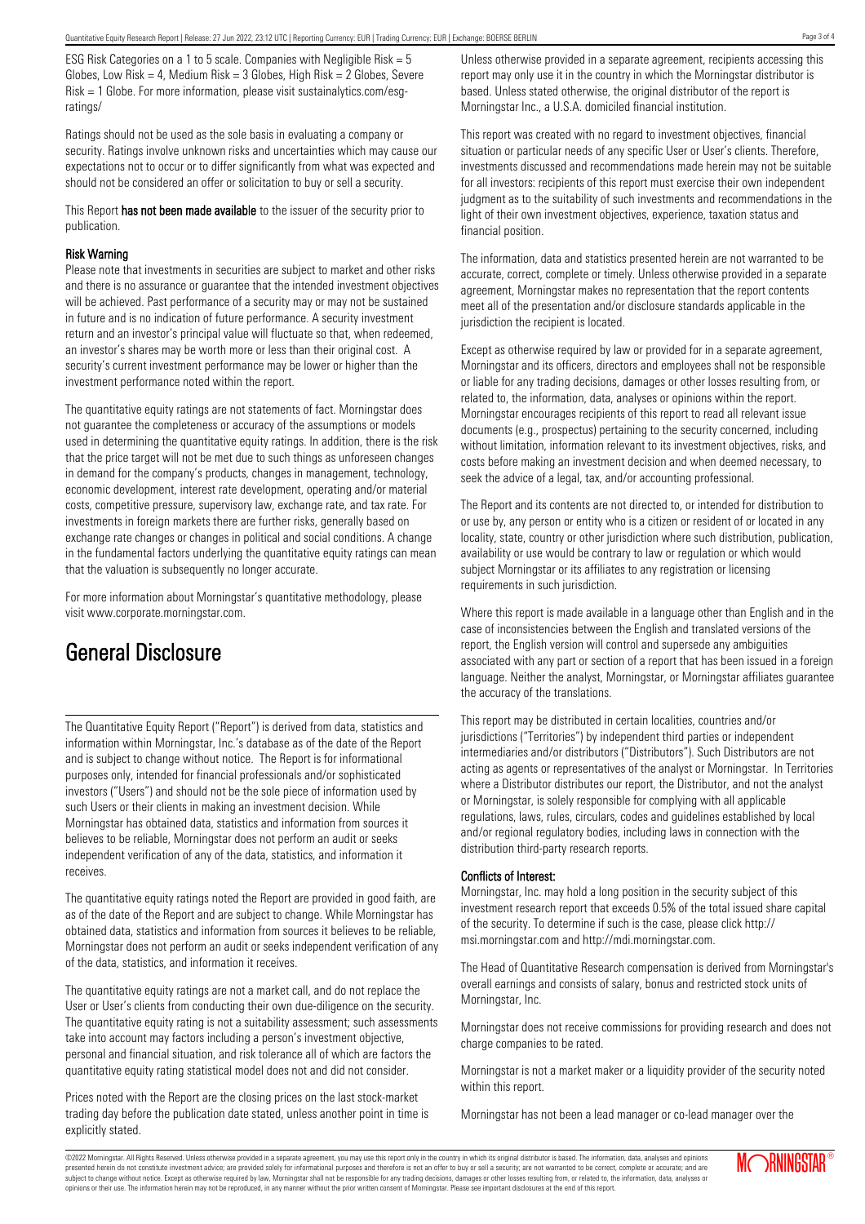ESG Risk Categories on a 1 to 5 scale. Companies with Negligible Risk = 5 Globes, Low Risk = 4, Medium Risk =  $3$  Globes, High Risk =  $2$  Globes, Severe Risk = 1 Globe. For more information, please visit sustainalytics.com/esgratings/

Ratings should not be used as the sole basis in evaluating a company or security. Ratings involve unknown risks and uncertainties which may cause our expectations not to occur or to differ significantly from what was expected and should not be considered an offer or solicitation to buy or sell a security.

This Report has not been made available to the issuer of the security prior to publication.

#### Risk Warning

Please note that investments in securities are subject to market and other risks and there is no assurance or guarantee that the intended investment objectives will be achieved. Past performance of a security may or may not be sustained in future and is no indication of future performance. A security investment return and an investor's principal value will fluctuate so that, when redeemed, an investor's shares may be worth more or less than their original cost. A security's current investment performance may be lower or higher than the investment performance noted within the report.

The quantitative equity ratings are not statements of fact. Morningstar does not guarantee the completeness or accuracy of the assumptions or models used in determining the quantitative equity ratings. In addition, there is the risk that the price target will not be met due to such things as unforeseen changes in demand for the company's products, changes in management, technology, economic development, interest rate development, operating and/or material costs, competitive pressure, supervisory law, exchange rate, and tax rate. For investments in foreign markets there are further risks, generally based on exchange rate changes or changes in political and social conditions. A change in the fundamental factors underlying the quantitative equity ratings can mean that the valuation is subsequently no longer accurate.

For more information about Morningstar's quantitative methodology, please visit www.corporate.morningstar.com.

# General Disclosure

The Quantitative Equity Report ("Report") is derived from data, statistics and information within Morningstar, Inc.'s database as of the date of the Report and is subject to change without notice. The Report is for informational purposes only, intended for financial professionals and/or sophisticated investors ("Users") and should not be the sole piece of information used by such Users or their clients in making an investment decision. While Morningstar has obtained data, statistics and information from sources it believes to be reliable, Morningstar does not perform an audit or seeks independent verification of any of the data, statistics, and information it receives.

The quantitative equity ratings noted the Report are provided in good faith, are as of the date of the Report and are subject to change. While Morningstar has obtained data, statistics and information from sources it believes to be reliable, Morningstar does not perform an audit or seeks independent verification of any of the data, statistics, and information it receives.

The quantitative equity ratings are not a market call, and do not replace the User or User's clients from conducting their own due-diligence on the security. The quantitative equity rating is not a suitability assessment; such assessments take into account may factors including a person's investment objective, personal and financial situation, and risk tolerance all of which are factors the quantitative equity rating statistical model does not and did not consider.

Prices noted with the Report are the closing prices on the last stock-market trading day before the publication date stated, unless another point in time is explicitly stated.

Unless otherwise provided in a separate agreement, recipients accessing this report may only use it in the country in which the Morningstar distributor is based. Unless stated otherwise, the original distributor of the report is Morningstar Inc., a U.S.A. domiciled financial institution.

This report was created with no regard to investment objectives, financial situation or particular needs of any specific User or User's clients. Therefore, investments discussed and recommendations made herein may not be suitable for all investors: recipients of this report must exercise their own independent judgment as to the suitability of such investments and recommendations in the light of their own investment objectives, experience, taxation status and financial position.

The information, data and statistics presented herein are not warranted to be accurate, correct, complete or timely. Unless otherwise provided in a separate agreement, Morningstar makes no representation that the report contents meet all of the presentation and/or disclosure standards applicable in the jurisdiction the recipient is located.

Except as otherwise required by law or provided for in a separate agreement, Morningstar and its officers, directors and employees shall not be responsible or liable for any trading decisions, damages or other losses resulting from, or related to, the information, data, analyses or opinions within the report. Morningstar encourages recipients of this report to read all relevant issue documents (e.g., prospectus) pertaining to the security concerned, including without limitation, information relevant to its investment objectives, risks, and costs before making an investment decision and when deemed necessary, to seek the advice of a legal, tax, and/or accounting professional.

The Report and its contents are not directed to, or intended for distribution to or use by, any person or entity who is a citizen or resident of or located in any locality, state, country or other jurisdiction where such distribution, publication, availability or use would be contrary to law or regulation or which would subject Morningstar or its affiliates to any registration or licensing requirements in such jurisdiction.

Where this report is made available in a language other than English and in the case of inconsistencies between the English and translated versions of the report, the English version will control and supersede any ambiguities associated with any part or section of a report that has been issued in a foreign language. Neither the analyst, Morningstar, or Morningstar affiliates guarantee the accuracy of the translations.

This report may be distributed in certain localities, countries and/or jurisdictions ("Territories") by independent third parties or independent intermediaries and/or distributors ("Distributors"). Such Distributors are not acting as agents or representatives of the analyst or Morningstar. In Territories where a Distributor distributes our report, the Distributor, and not the analyst or Morningstar, is solely responsible for complying with all applicable regulations, laws, rules, circulars, codes and guidelines established by local and/or regional regulatory bodies, including laws in connection with the distribution third-party research reports.

### Conflicts of Interest:

Morningstar, Inc. may hold a long position in the security subject of this investment research report that exceeds 0.5% of the total issued share capital of the security. To determine if such is the case, please click http:// msi.morningstar.com and http://mdi.morningstar.com.

The Head of Quantitative Research compensation is derived from Morningstar's overall earnings and consists of salary, bonus and restricted stock units of Morningstar, Inc.

Morningstar does not receive commissions for providing research and does not charge companies to be rated.

Morningstar is not a market maker or a liquidity provider of the security noted within this report.

Morningstar has not been a lead manager or co-lead manager over the